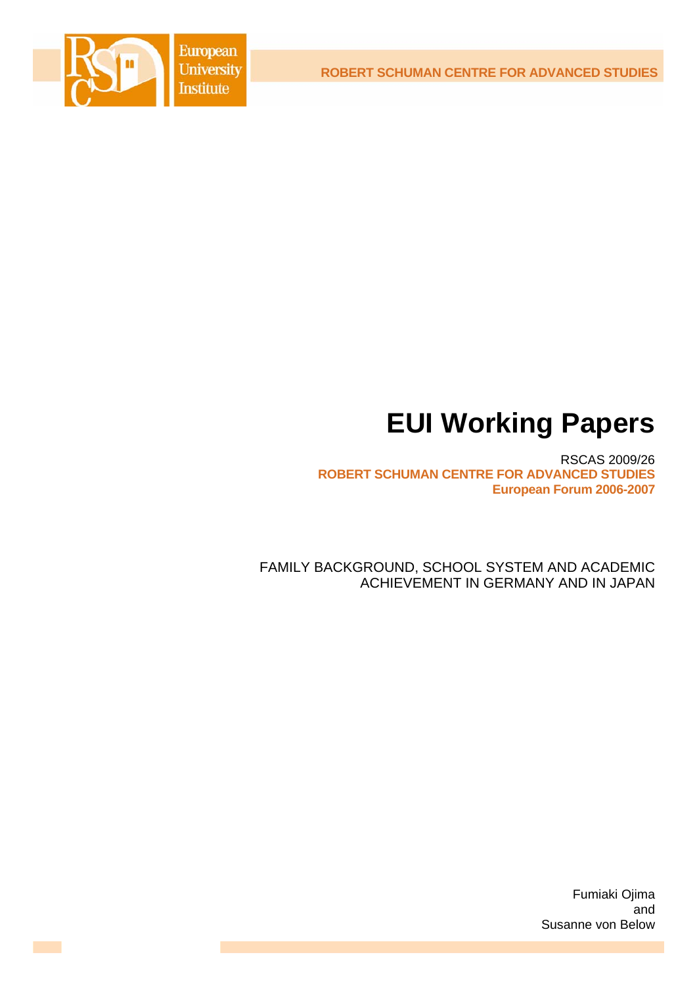**ROBERT SCHUMAN CENTRE FOR ADVANCED STUDIES**



# **EUI Working Papers**

RSCAS 2009/26 **ROBERT SCHUMAN CENTRE FOR ADVANCED STUDIES European Forum 2006-2007**

FAMILY BACKGROUND, SCHOOL SYSTEM AND ACADEMIC ACHIEVEMENT IN GERMANY AND IN JAPAN

> Fumiaki Ojima and Susanne von Below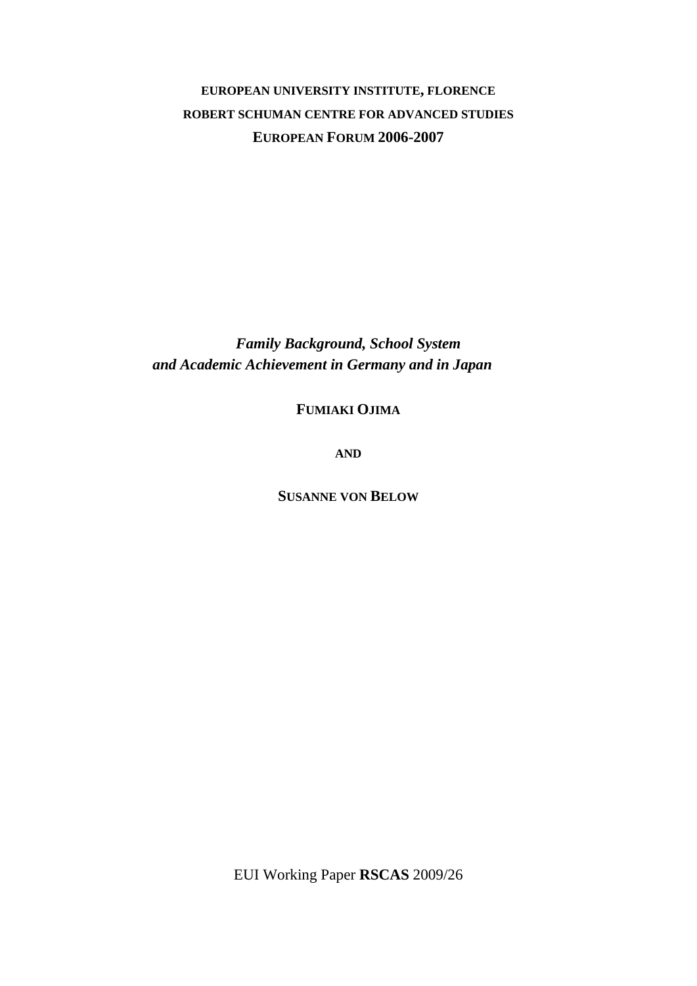## **EUROPEAN UNIVERSITY INSTITUTE, FLORENCE ROBERT SCHUMAN CENTRE FOR ADVANCED STUDIES EUROPEAN FORUM 2006-2007**

*Family Background, School System and Academic Achievement in Germany and in Japan* 

**FUMIAKI OJIMA**

**AND**

**SUSANNE VON BELOW**

EUI Working Paper **RSCAS** 2009/26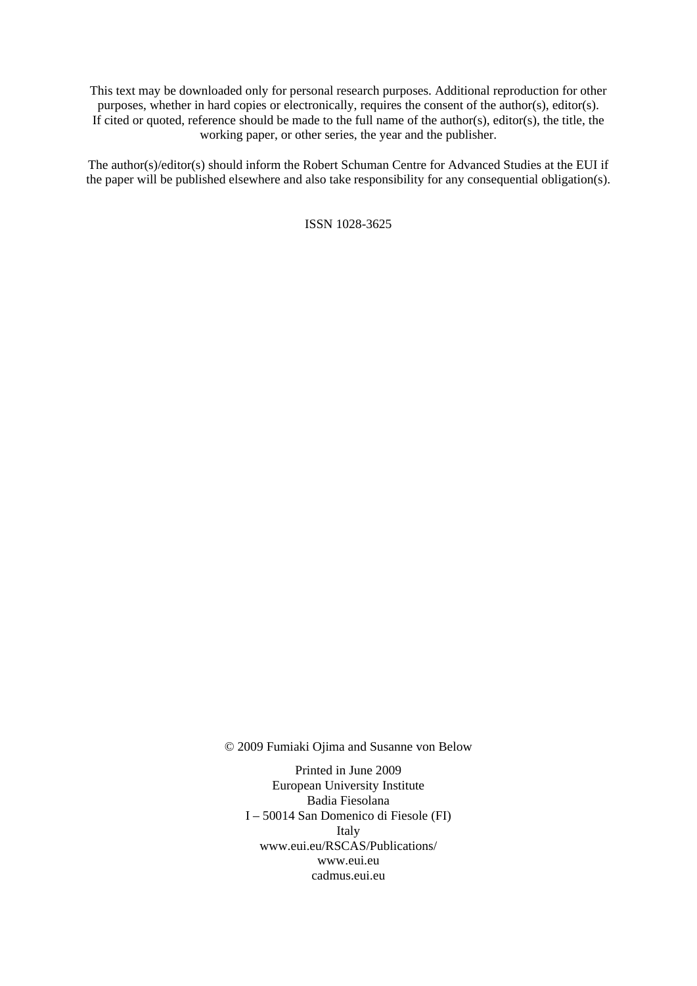This text may be downloaded only for personal research purposes. Additional reproduction for other purposes, whether in hard copies or electronically, requires the consent of the author(s), editor(s). If cited or quoted, reference should be made to the full name of the author(s), editor(s), the title, the working paper, or other series, the year and the publisher.

The author(s)/editor(s) should inform the Robert Schuman Centre for Advanced Studies at the EUI if the paper will be published elsewhere and also take responsibility for any consequential obligation(s).

ISSN 1028-3625

© 2009 Fumiaki Ojima and Susanne von Below

Printed in June 2009 European University Institute Badia Fiesolana I – 50014 San Domenico di Fiesole (FI) Italy [www.eui.eu/RSCAS/Publications/](http://www.eui.eu/RSCAS/Publications/)  [www.eui.eu](http://www.eui.eu)  cadmus.eui.eu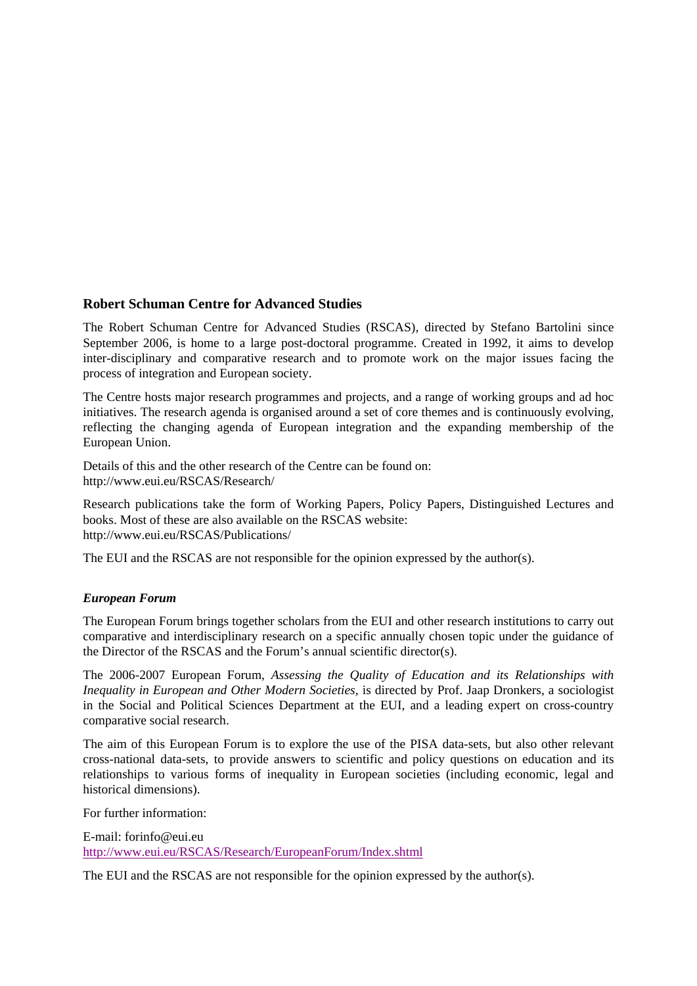## **Robert Schuman Centre for Advanced Studies**

The Robert Schuman Centre for Advanced Studies (RSCAS), directed by Stefano Bartolini since September 2006, is home to a large post-doctoral programme. Created in 1992, it aims to develop inter-disciplinary and comparative research and to promote work on the major issues facing the process of integration and European society.

The Centre hosts major research programmes and projects, and a range of working groups and ad hoc initiatives. The research agenda is organised around a set of core themes and is continuously evolving, reflecting the changing agenda of European integration and the expanding membership of the European Union.

Details of this and the other research of the Centre can be found on: <http://www.eui.eu/RSCAS/Research/>

Research publications take the form of Working Papers, Policy Papers, Distinguished Lectures and books. Most of these are also available on the RSCAS website: <http://www.eui.eu/RSCAS/Publications/>

The EUI and the RSCAS are not responsible for the opinion expressed by the author(s).

#### *European Forum*

The European Forum brings together scholars from the EUI and other research institutions to carry out comparative and interdisciplinary research on a specific annually chosen topic under the guidance of the Director of the RSCAS and the Forum's annual scientific director(s).

The 2006-2007 European Forum, *Assessing the Quality of Education and its Relationships with Inequality in European and Other Modern Societies,* is directed by Prof. Jaap Dronkers, a sociologist in the Social and Political Sciences Department at the EUI, and a leading expert on cross-country comparative social research.

The aim of this European Forum is to explore the use of the PISA data-sets, but also other relevant cross-national data-sets, to provide answers to scientific and policy questions on education and its relationships to various forms of inequality in European societies (including economic, legal and historical dimensions).

For further information:

E-mail: [forinfo@eui.eu](mailto:forinfo@eui.eu)  <http://www.eui.eu/RSCAS/Research/EuropeanForum/Index.shtml>

The EUI and the RSCAS are not responsible for the opinion expressed by the author(s).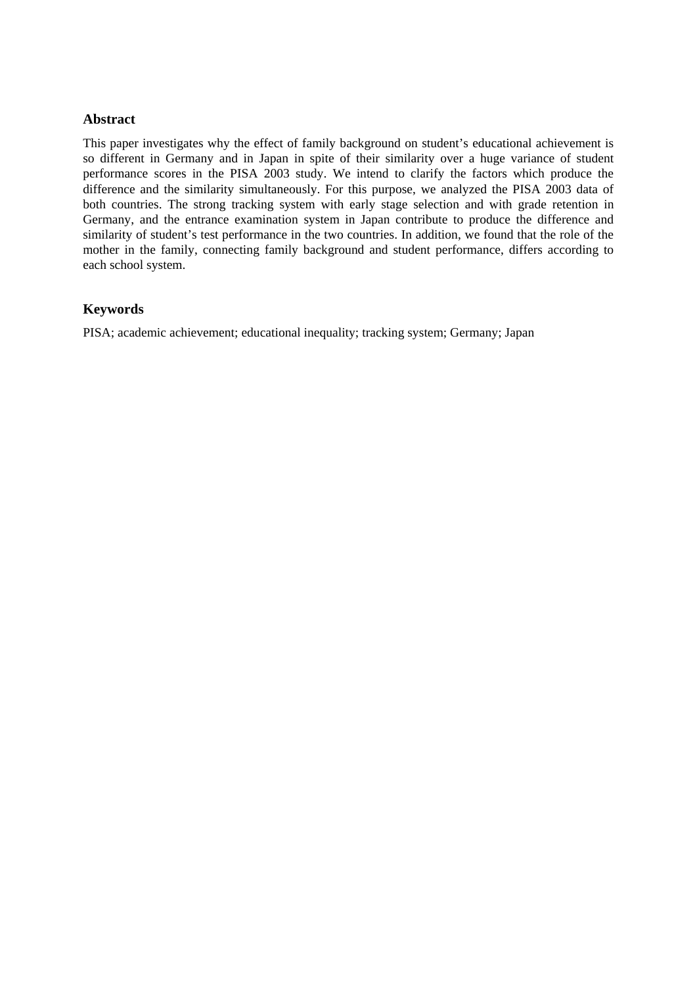## **Abstract**

This paper investigates why the effect of family background on student's educational achievement is so different in Germany and in Japan in spite of their similarity over a huge variance of student performance scores in the PISA 2003 study. We intend to clarify the factors which produce the difference and the similarity simultaneously. For this purpose, we analyzed the PISA 2003 data of both countries. The strong tracking system with early stage selection and with grade retention in Germany, and the entrance examination system in Japan contribute to produce the difference and similarity of student's test performance in the two countries. In addition, we found that the role of the mother in the family, connecting family background and student performance, differs according to each school system.

### **Keywords**

PISA; academic achievement; educational inequality; tracking system; Germany; Japan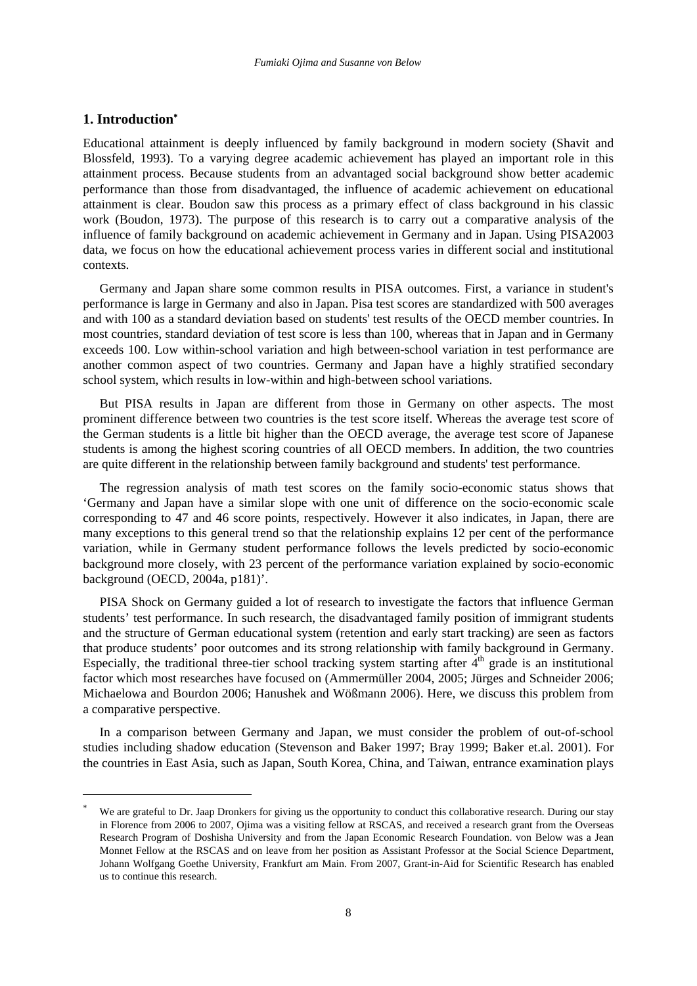#### **1. Introduction**<sup>∗</sup>

1

Educational attainment is deeply influenced by family background in modern society (Shavit and Blossfeld, 1993). To a varying degree academic achievement has played an important role in this attainment process. Because students from an advantaged social background show better academic performance than those from disadvantaged, the influence of academic achievement on educational attainment is clear. Boudon saw this process as a primary effect of class background in his classic work (Boudon, 1973). The purpose of this research is to carry out a comparative analysis of the influence of family background on academic achievement in Germany and in Japan. Using PISA2003 data, we focus on how the educational achievement process varies in different social and institutional contexts.

Germany and Japan share some common results in PISA outcomes. First, a variance in student's performance is large in Germany and also in Japan. Pisa test scores are standardized with 500 averages and with 100 as a standard deviation based on students' test results of the OECD member countries. In most countries, standard deviation of test score is less than 100, whereas that in Japan and in Germany exceeds 100. Low within-school variation and high between-school variation in test performance are another common aspect of two countries. Germany and Japan have a highly stratified secondary school system, which results in low-within and high-between school variations.

But PISA results in Japan are different from those in Germany on other aspects. The most prominent difference between two countries is the test score itself. Whereas the average test score of the German students is a little bit higher than the OECD average, the average test score of Japanese students is among the highest scoring countries of all OECD members. In addition, the two countries are quite different in the relationship between family background and students' test performance.

The regression analysis of math test scores on the family socio-economic status shows that 'Germany and Japan have a similar slope with one unit of difference on the socio-economic scale corresponding to 47 and 46 score points, respectively. However it also indicates, in Japan, there are many exceptions to this general trend so that the relationship explains 12 per cent of the performance variation, while in Germany student performance follows the levels predicted by socio-economic background more closely, with 23 percent of the performance variation explained by socio-economic background (OECD, 2004a, p181)'.

PISA Shock on Germany guided a lot of research to investigate the factors that influence German students' test performance. In such research, the disadvantaged family position of immigrant students and the structure of German educational system (retention and early start tracking) are seen as factors that produce students' poor outcomes and its strong relationship with family background in Germany. Especially, the traditional three-tier school tracking system starting after  $4<sup>th</sup>$  grade is an institutional factor which most researches have focused on (Ammermüller 2004, 2005; Jürges and Schneider 2006; Michaelowa and Bourdon 2006; Hanushek and Wößmann 2006). Here, we discuss this problem from a comparative perspective.

In a comparison between Germany and Japan, we must consider the problem of out-of-school studies including shadow education (Stevenson and Baker 1997; Bray 1999; Baker et.al. 2001). For the countries in East Asia, such as Japan, South Korea, China, and Taiwan, entrance examination plays

<sup>∗</sup> We are grateful to Dr. Jaap Dronkers for giving us the opportunity to conduct this collaborative research. During our stay in Florence from 2006 to 2007, Ojima was a visiting fellow at RSCAS, and received a research grant from the Overseas Research Program of Doshisha University and from the Japan Economic Research Foundation. von Below was a Jean Monnet Fellow at the RSCAS and on leave from her position as Assistant Professor at the Social Science Department, Johann Wolfgang Goethe University, Frankfurt am Main. From 2007, Grant-in-Aid for Scientific Research has enabled us to continue this research.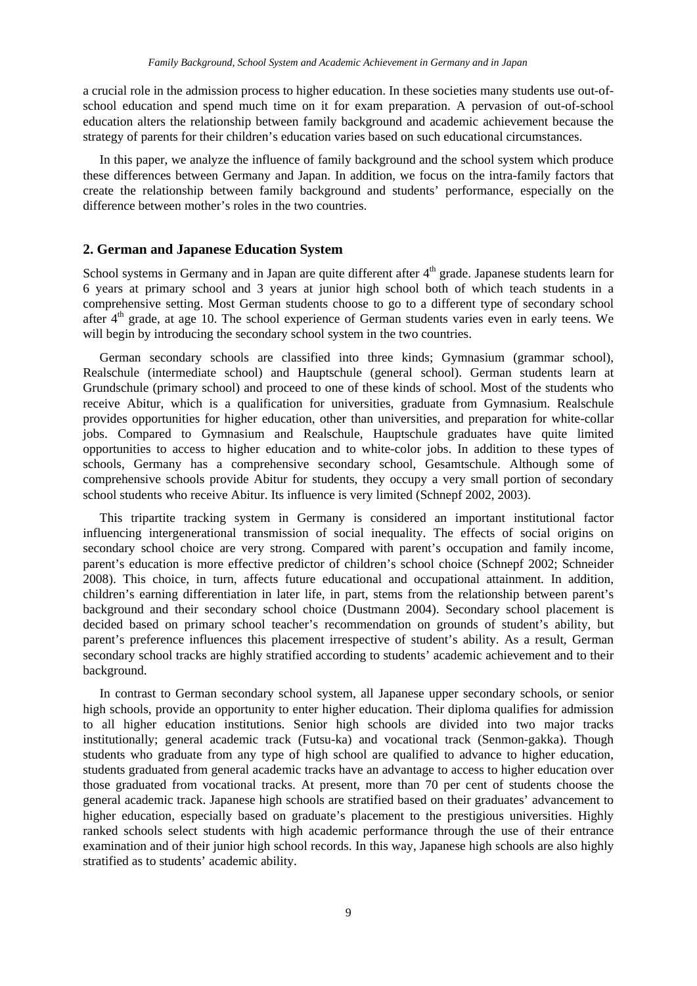a crucial role in the admission process to higher education. In these societies many students use out-ofschool education and spend much time on it for exam preparation. A pervasion of out-of-school education alters the relationship between family background and academic achievement because the strategy of parents for their children's education varies based on such educational circumstances.

In this paper, we analyze the influence of family background and the school system which produce these differences between Germany and Japan. In addition, we focus on the intra-family factors that create the relationship between family background and students' performance, especially on the difference between mother's roles in the two countries.

#### **2. German and Japanese Education System**

School systems in Germany and in Japan are quite different after  $4<sup>th</sup>$  grade. Japanese students learn for 6 years at primary school and 3 years at junior high school both of which teach students in a comprehensive setting. Most German students choose to go to a different type of secondary school after 4<sup>th</sup> grade, at age 10. The school experience of German students varies even in early teens. We will begin by introducing the secondary school system in the two countries.

German secondary schools are classified into three kinds; Gymnasium (grammar school), Realschule (intermediate school) and Hauptschule (general school). German students learn at Grundschule (primary school) and proceed to one of these kinds of school. Most of the students who receive Abitur, which is a qualification for universities, graduate from Gymnasium. Realschule provides opportunities for higher education, other than universities, and preparation for white-collar jobs. Compared to Gymnasium and Realschule, Hauptschule graduates have quite limited opportunities to access to higher education and to white-color jobs. In addition to these types of schools, Germany has a comprehensive secondary school, Gesamtschule. Although some of comprehensive schools provide Abitur for students, they occupy a very small portion of secondary school students who receive Abitur. Its influence is very limited (Schnepf 2002, 2003).

This tripartite tracking system in Germany is considered an important institutional factor influencing intergenerational transmission of social inequality. The effects of social origins on secondary school choice are very strong. Compared with parent's occupation and family income, parent's education is more effective predictor of children's school choice (Schnepf 2002; Schneider 2008). This choice, in turn, affects future educational and occupational attainment. In addition, children's earning differentiation in later life, in part, stems from the relationship between parent's background and their secondary school choice (Dustmann 2004). Secondary school placement is decided based on primary school teacher's recommendation on grounds of student's ability, but parent's preference influences this placement irrespective of student's ability. As a result, German secondary school tracks are highly stratified according to students' academic achievement and to their background.

In contrast to German secondary school system, all Japanese upper secondary schools, or senior high schools, provide an opportunity to enter higher education. Their diploma qualifies for admission to all higher education institutions. Senior high schools are divided into two major tracks institutionally; general academic track (Futsu-ka) and vocational track (Senmon-gakka). Though students who graduate from any type of high school are qualified to advance to higher education, students graduated from general academic tracks have an advantage to access to higher education over those graduated from vocational tracks. At present, more than 70 per cent of students choose the general academic track. Japanese high schools are stratified based on their graduates' advancement to higher education, especially based on graduate's placement to the prestigious universities. Highly ranked schools select students with high academic performance through the use of their entrance examination and of their junior high school records. In this way, Japanese high schools are also highly stratified as to students' academic ability.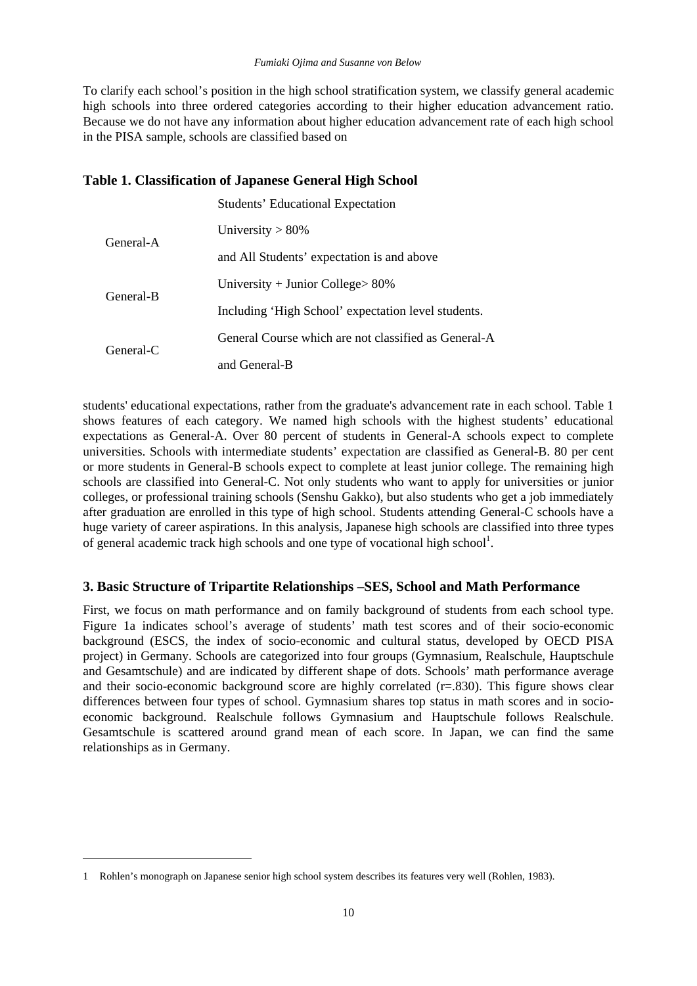To clarify each school's position in the high school stratification system, we classify general academic high schools into three ordered categories according to their higher education advancement ratio. Because we do not have any information about higher education advancement rate of each high school in the PISA sample, schools are classified based on

## **Table 1. Classification of Japanese General High School**

|           | <b>Students' Educational Expectation</b>             |
|-----------|------------------------------------------------------|
| General-A | University $> 80\%$                                  |
|           | and All Students' expectation is and above           |
| General-B | University + Junior College $> 80\%$                 |
|           | Including 'High School' expectation level students.  |
| General-C | General Course which are not classified as General-A |
|           | and General-B                                        |

students' educational expectations, rather from the graduate's advancement rate in each school. Table 1 shows features of each category. We named high schools with the highest students' educational expectations as General-A. Over 80 percent of students in General-A schools expect to complete universities. Schools with intermediate students' expectation are classified as General-B. 80 per cent or more students in General-B schools expect to complete at least junior college. The remaining high schools are classified into General-C. Not only students who want to apply for universities or junior colleges, or professional training schools (Senshu Gakko), but also students who get a job immediately after graduation are enrolled in this type of high school. Students attending General-C schools have a huge variety of career aspirations. In this analysis, Japanese high schools are classified into three types of general academic track high schools and one type of vocational high school<sup>1</sup>.

## **3. Basic Structure of Tripartite Relationships –SES, School and Math Performance**

First, we focus on math performance and on family background of students from each school type. Figure 1a indicates school's average of students' math test scores and of their socio-economic background (ESCS, the index of socio-economic and cultural status, developed by OECD PISA project) in Germany. Schools are categorized into four groups (Gymnasium, Realschule, Hauptschule and Gesamtschule) and are indicated by different shape of dots. Schools' math performance average and their socio-economic background score are highly correlated (r=.830). This figure shows clear differences between four types of school. Gymnasium shares top status in math scores and in socioeconomic background. Realschule follows Gymnasium and Hauptschule follows Realschule. Gesamtschule is scattered around grand mean of each score. In Japan, we can find the same relationships as in Germany.

1

<sup>1</sup> Rohlen's monograph on Japanese senior high school system describes its features very well (Rohlen, 1983).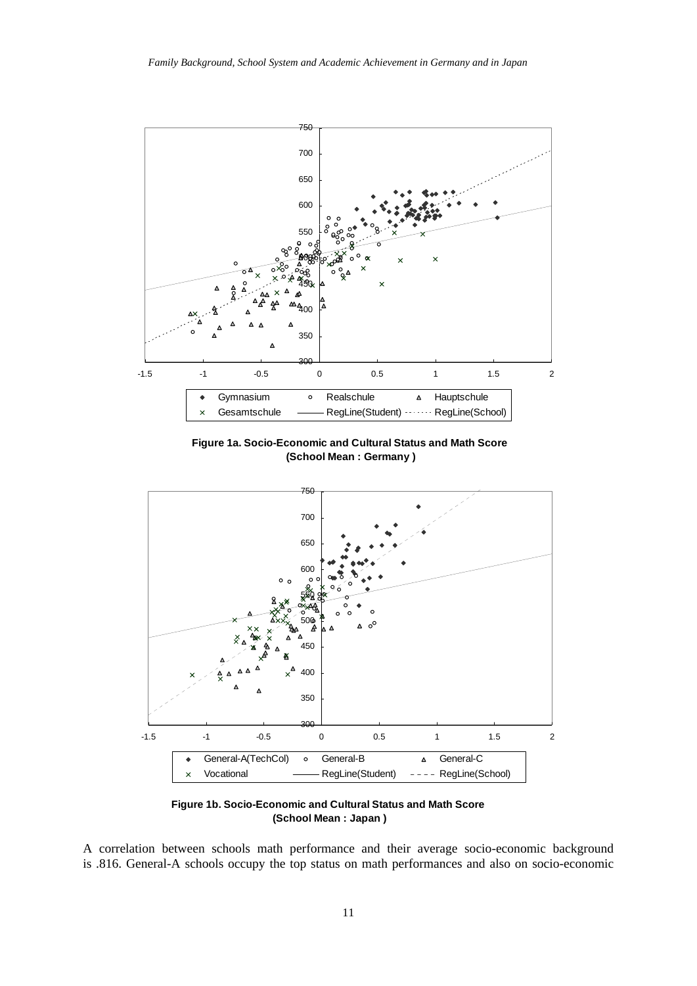

**Figure 1a. Socio-Economic and Cultural Status and Math Score (School Mean : Germany )**



**Figure 1b. Socio-Economic and Cultural Status and Math Score (School Mean : Japan )**

A correlation between schools math performance and their average socio-economic background is .816. General-A schools occupy the top status on math performances and also on socio-economic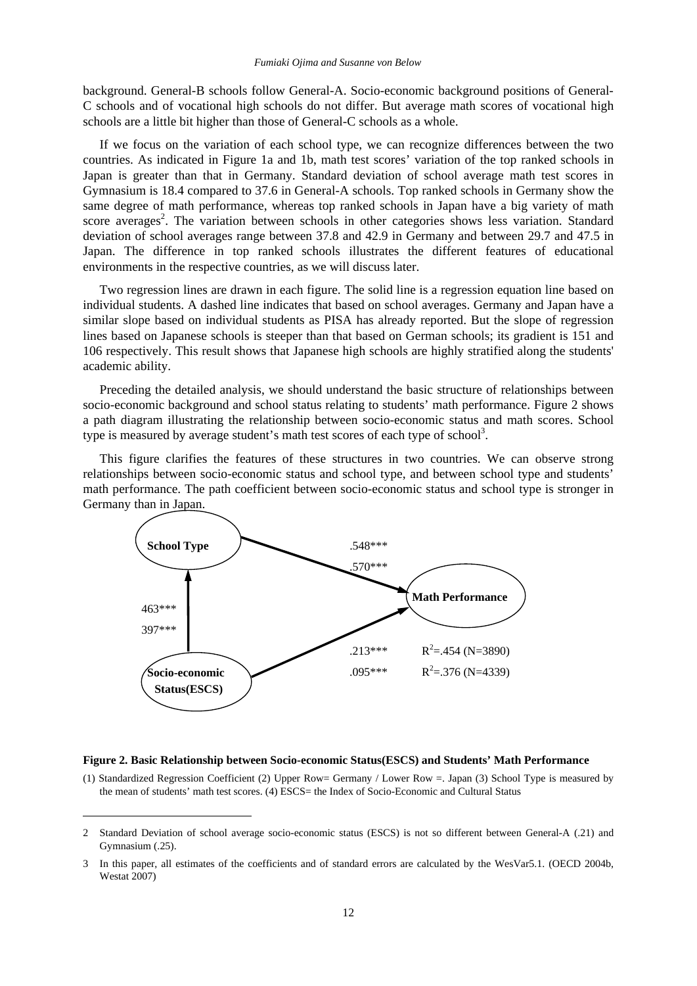background. General-B schools follow General-A. Socio-economic background positions of General-C schools and of vocational high schools do not differ. But average math scores of vocational high schools are a little bit higher than those of General-C schools as a whole.

If we focus on the variation of each school type, we can recognize differences between the two countries. As indicated in Figure 1a and 1b, math test scores' variation of the top ranked schools in Japan is greater than that in Germany. Standard deviation of school average math test scores in Gymnasium is 18.4 compared to 37.6 in General-A schools. Top ranked schools in Germany show the same degree of math performance, whereas top ranked schools in Japan have a big variety of math score averages<sup>2</sup>. The variation between schools in other categories shows less variation. Standard deviation of school averages range between 37.8 and 42.9 in Germany and between 29.7 and 47.5 in Japan. The difference in top ranked schools illustrates the different features of educational environments in the respective countries, as we will discuss later.

Two regression lines are drawn in each figure. The solid line is a regression equation line based on individual students. A dashed line indicates that based on school averages. Germany and Japan have a similar slope based on individual students as PISA has already reported. But the slope of regression lines based on Japanese schools is steeper than that based on German schools; its gradient is 151 and 106 respectively. This result shows that Japanese high schools are highly stratified along the students' academic ability.

Preceding the detailed analysis, we should understand the basic structure of relationships between socio-economic background and school status relating to students' math performance. Figure 2 shows a path diagram illustrating the relationship between socio-economic status and math scores. School type is measured by average student's math test scores of each type of school<sup>3</sup>.

This figure clarifies the features of these structures in two countries. We can observe strong relationships between socio-economic status and school type, and between school type and students' math performance. The path coefficient between socio-economic status and school type is stronger in Germany than in Japan.



#### **Figure 2. Basic Relationship between Socio-economic Status(ESCS) and Students' Math Performance**

1

(1) Standardized Regression Coefficient (2) Upper Row= Germany / Lower Row =. Japan (3) School Type is measured by the mean of students' math test scores. (4) ESCS= the Index of Socio-Economic and Cultural Status

<sup>2</sup> Standard Deviation of school average socio-economic status (ESCS) is not so different between General-A (.21) and Gymnasium (.25).

<sup>3</sup> In this paper, all estimates of the coefficients and of standard errors are calculated by the WesVar5.1. (OECD 2004b, Westat 2007)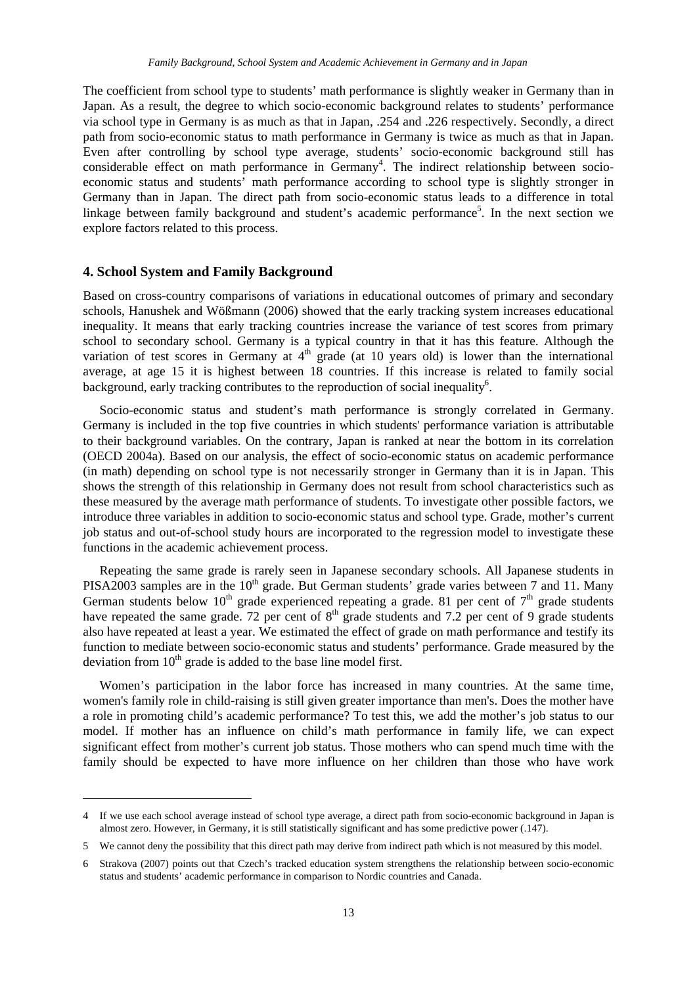The coefficient from school type to students' math performance is slightly weaker in Germany than in Japan. As a result, the degree to which socio-economic background relates to students' performance via school type in Germany is as much as that in Japan, .254 and .226 respectively. Secondly, a direct path from socio-economic status to math performance in Germany is twice as much as that in Japan. Even after controlling by school type average, students' socio-economic background still has considerable effect on math performance in Germany<sup>4</sup>. The indirect relationship between socioeconomic status and students' math performance according to school type is slightly stronger in Germany than in Japan. The direct path from socio-economic status leads to a difference in total linkage between family background and student's academic performance<sup>5</sup>. In the next section we explore factors related to this process.

#### **4. School System and Family Background**

1

Based on cross-country comparisons of variations in educational outcomes of primary and secondary schools, Hanushek and Wößmann (2006) showed that the early tracking system increases educational inequality. It means that early tracking countries increase the variance of test scores from primary school to secondary school. Germany is a typical country in that it has this feature. Although the variation of test scores in Germany at  $4<sup>th</sup>$  grade (at 10 years old) is lower than the international average, at age 15 it is highest between 18 countries. If this increase is related to family social background, early tracking contributes to the reproduction of social inequality<sup>6</sup>.

Socio-economic status and student's math performance is strongly correlated in Germany. Germany is included in the top five countries in which students' performance variation is attributable to their background variables. On the contrary, Japan is ranked at near the bottom in its correlation (OECD 2004a). Based on our analysis, the effect of socio-economic status on academic performance (in math) depending on school type is not necessarily stronger in Germany than it is in Japan. This shows the strength of this relationship in Germany does not result from school characteristics such as these measured by the average math performance of students. To investigate other possible factors, we introduce three variables in addition to socio-economic status and school type. Grade, mother's current job status and out-of-school study hours are incorporated to the regression model to investigate these functions in the academic achievement process.

Repeating the same grade is rarely seen in Japanese secondary schools. All Japanese students in PISA2003 samples are in the  $10<sup>th</sup>$  grade. But German students' grade varies between 7 and 11. Many German students below  $10^{th}$  grade experienced repeating a grade. 81 per cent of  $7^{th}$  grade students have repeated the same grade. 72 per cent of  $8<sup>th</sup>$  grade students and 7.2 per cent of 9 grade students also have repeated at least a year. We estimated the effect of grade on math performance and testify its function to mediate between socio-economic status and students' performance. Grade measured by the deviation from  $10<sup>th</sup>$  grade is added to the base line model first.

Women's participation in the labor force has increased in many countries. At the same time, women's family role in child-raising is still given greater importance than men's. Does the mother have a role in promoting child's academic performance? To test this, we add the mother's job status to our model. If mother has an influence on child's math performance in family life, we can expect significant effect from mother's current job status. Those mothers who can spend much time with the family should be expected to have more influence on her children than those who have work

<sup>4</sup> If we use each school average instead of school type average, a direct path from socio-economic background in Japan is almost zero. However, in Germany, it is still statistically significant and has some predictive power (.147).

<sup>5</sup> We cannot deny the possibility that this direct path may derive from indirect path which is not measured by this model.

<sup>6</sup> Strakova (2007) points out that Czech's tracked education system strengthens the relationship between socio-economic status and students' academic performance in comparison to Nordic countries and Canada.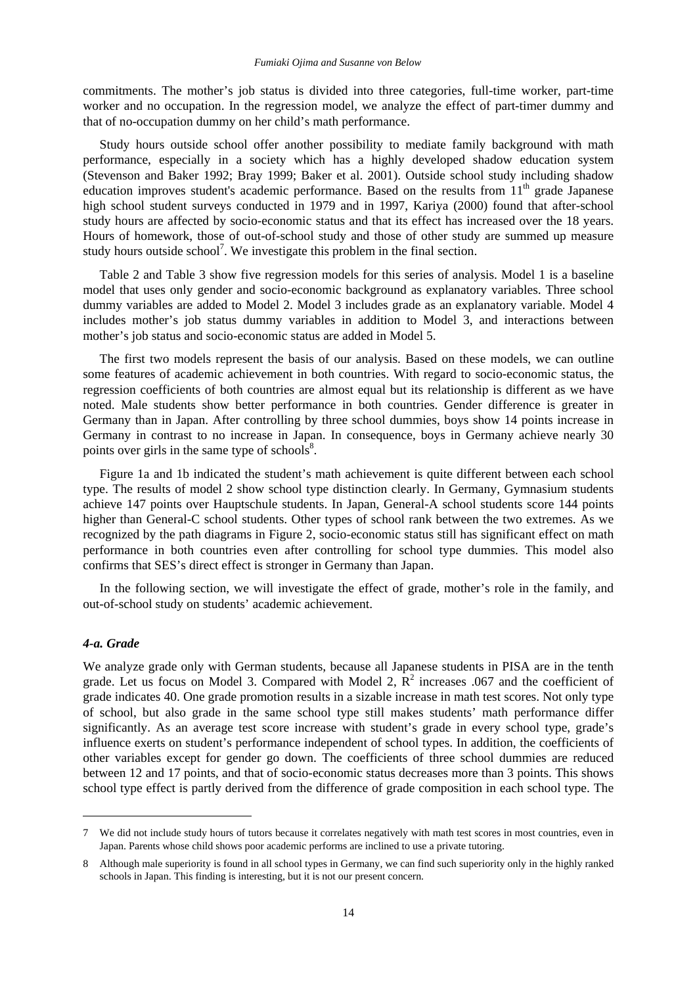commitments. The mother's job status is divided into three categories, full-time worker, part-time worker and no occupation. In the regression model, we analyze the effect of part-timer dummy and that of no-occupation dummy on her child's math performance.

Study hours outside school offer another possibility to mediate family background with math performance, especially in a society which has a highly developed shadow education system (Stevenson and Baker 1992; Bray 1999; Baker et al. 2001). Outside school study including shadow education improves student's academic performance. Based on the results from  $11<sup>th</sup>$  grade Japanese high school student surveys conducted in 1979 and in 1997, Kariya (2000) found that after-school study hours are affected by socio-economic status and that its effect has increased over the 18 years. Hours of homework, those of out-of-school study and those of other study are summed up measure study hours outside school<sup>7</sup>. We investigate this problem in the final section.

Table 2 and Table 3 show five regression models for this series of analysis. Model 1 is a baseline model that uses only gender and socio-economic background as explanatory variables. Three school dummy variables are added to Model 2. Model 3 includes grade as an explanatory variable. Model 4 includes mother's job status dummy variables in addition to Model 3, and interactions between mother's job status and socio-economic status are added in Model 5.

The first two models represent the basis of our analysis. Based on these models, we can outline some features of academic achievement in both countries. With regard to socio-economic status, the regression coefficients of both countries are almost equal but its relationship is different as we have noted. Male students show better performance in both countries. Gender difference is greater in Germany than in Japan. After controlling by three school dummies, boys show 14 points increase in Germany in contrast to no increase in Japan. In consequence, boys in Germany achieve nearly 30 points over girls in the same type of schools $8$ .

Figure 1a and 1b indicated the student's math achievement is quite different between each school type. The results of model 2 show school type distinction clearly. In Germany, Gymnasium students achieve 147 points over Hauptschule students. In Japan, General-A school students score 144 points higher than General-C school students. Other types of school rank between the two extremes. As we recognized by the path diagrams in Figure 2, socio-economic status still has significant effect on math performance in both countries even after controlling for school type dummies. This model also confirms that SES's direct effect is stronger in Germany than Japan.

In the following section, we will investigate the effect of grade, mother's role in the family, and out-of-school study on students' academic achievement.

#### *4-a. Grade*

1

We analyze grade only with German students, because all Japanese students in PISA are in the tenth grade. Let us focus on Model 3. Compared with Model 2,  $\mathbb{R}^2$  increases .067 and the coefficient of grade indicates 40. One grade promotion results in a sizable increase in math test scores. Not only type of school, but also grade in the same school type still makes students' math performance differ significantly. As an average test score increase with student's grade in every school type, grade's influence exerts on student's performance independent of school types. In addition, the coefficients of other variables except for gender go down. The coefficients of three school dummies are reduced between 12 and 17 points, and that of socio-economic status decreases more than 3 points. This shows school type effect is partly derived from the difference of grade composition in each school type. The

<sup>7</sup> We did not include study hours of tutors because it correlates negatively with math test scores in most countries, even in Japan. Parents whose child shows poor academic performs are inclined to use a private tutoring.

<sup>8</sup> Although male superiority is found in all school types in Germany, we can find such superiority only in the highly ranked schools in Japan. This finding is interesting, but it is not our present concern.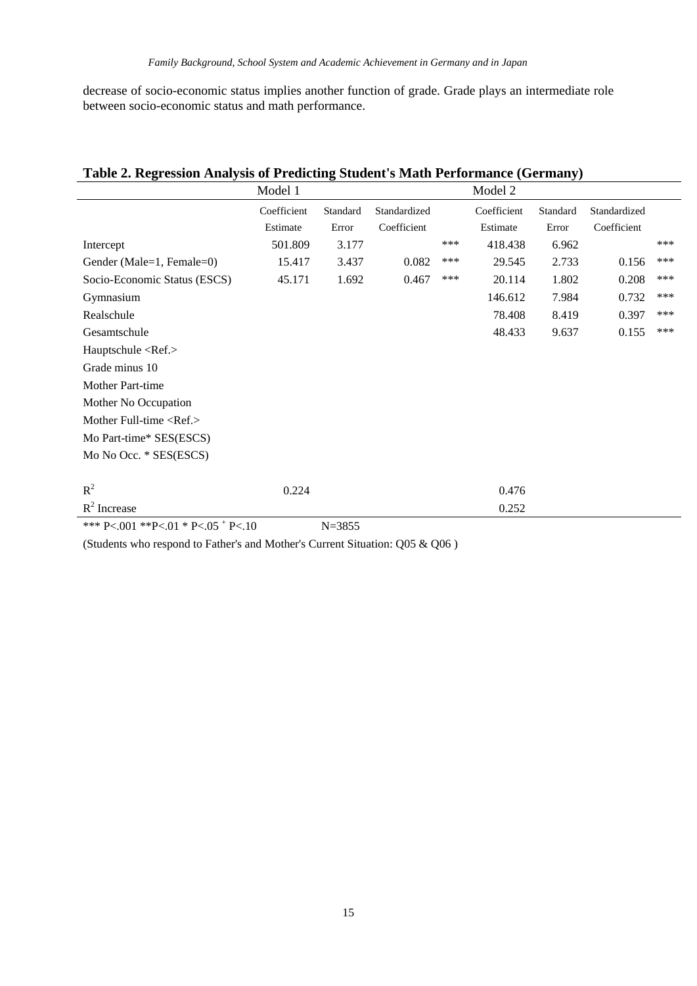decrease of socio-economic status implies another function of grade. Grade plays an intermediate role between socio-economic status and math performance.

|                                         | Model 1     |          |              |       | Model 2     |          |              |       |
|-----------------------------------------|-------------|----------|--------------|-------|-------------|----------|--------------|-------|
|                                         | Coefficient | Standard | Standardized |       | Coefficient | Standard | Standardized |       |
|                                         | Estimate    | Error    | Coefficient  |       | Estimate    | Error    | Coefficient  |       |
| Intercept                               | 501.809     | 3.177    |              | $***$ | 418.438     | 6.962    |              | ***   |
| Gender (Male=1, Female=0)               | 15.417      | 3.437    | 0.082        | ***   | 29.545      | 2.733    | 0.156        | ***   |
| Socio-Economic Status (ESCS)            | 45.171      | 1.692    | 0.467        | ***   | 20.114      | 1.802    | 0.208        | ***   |
| Gymnasium                               |             |          |              |       | 146.612     | 7.984    | 0.732        | ***   |
| Realschule                              |             |          |              |       | 78.408      | 8.419    | 0.397        | ***   |
| Gesamtschule                            |             |          |              |       | 48.433      | 9.637    | 0.155        | $***$ |
| Hauptschule <ref.></ref.>               |             |          |              |       |             |          |              |       |
| Grade minus 10                          |             |          |              |       |             |          |              |       |
| Mother Part-time                        |             |          |              |       |             |          |              |       |
| Mother No Occupation                    |             |          |              |       |             |          |              |       |
| Mother Full-time $\langle Ref. \rangle$ |             |          |              |       |             |          |              |       |
| Mo Part-time* SES(ESCS)                 |             |          |              |       |             |          |              |       |
| Mo No Occ. * SES(ESCS)                  |             |          |              |       |             |          |              |       |
|                                         |             |          |              |       |             |          |              |       |
| $R^2$                                   | 0.224       |          |              |       | 0.476       |          |              |       |
| $R^2$ Increase                          |             |          |              |       | 0.252       |          |              |       |

## **Table 2. Regression Analysis of Predicting Student's Math Performance (Germany)**

\*\*\* P<.001 \*\* P<.01 \* P<.05 + P<.10

N=3855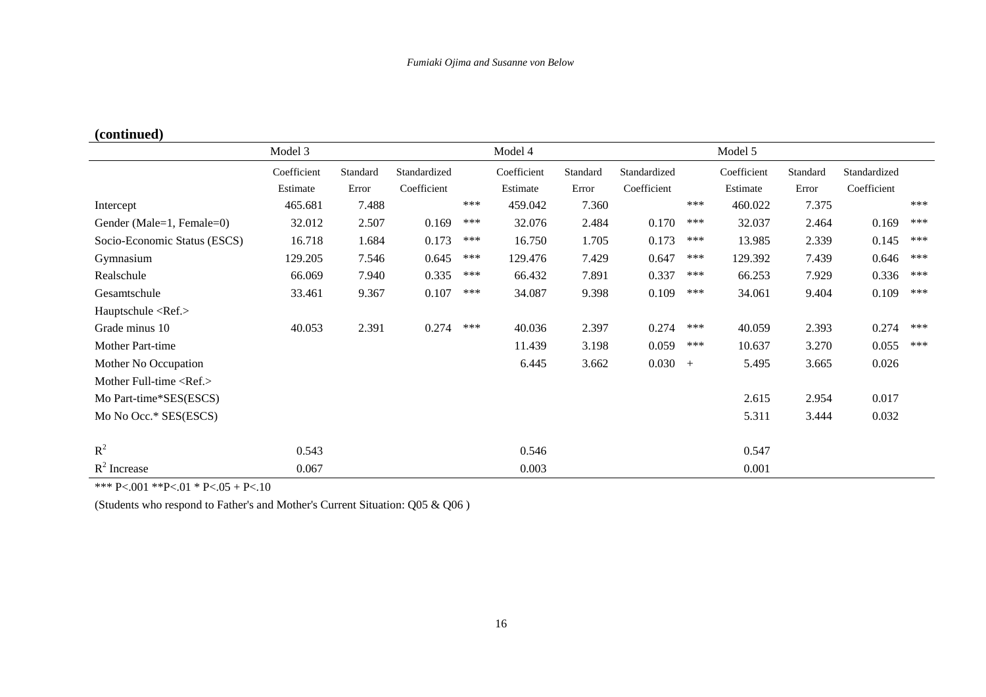## **(continued)**

|                                         | Model 3     |          |              |     | Model 4     |          |              |       | Model 5     |          |              |       |
|-----------------------------------------|-------------|----------|--------------|-----|-------------|----------|--------------|-------|-------------|----------|--------------|-------|
|                                         | Coefficient | Standard | Standardized |     | Coefficient | Standard | Standardized |       | Coefficient | Standard | Standardized |       |
|                                         | Estimate    | Error    | Coefficient  |     | Estimate    | Error    | Coefficient  |       | Estimate    | Error    | Coefficient  |       |
| Intercept                               | 465.681     | 7.488    |              | *** | 459.042     | 7.360    |              | ***   | 460.022     | 7.375    |              | $***$ |
| Gender (Male=1, Female=0)               | 32.012      | 2.507    | 0.169        | *** | 32.076      | 2.484    | 0.170        | ***   | 32.037      | 2.464    | 0.169        | ***   |
| Socio-Economic Status (ESCS)            | 16.718      | 1.684    | 0.173        | *** | 16.750      | 1.705    | 0.173        | ***   | 13.985      | 2.339    | 0.145        | ***   |
| Gymnasium                               | 129.205     | 7.546    | 0.645        | *** | 129.476     | 7.429    | 0.647        | ***   | 129.392     | 7.439    | 0.646        | ***   |
| Realschule                              | 66.069      | 7.940    | 0.335        | *** | 66.432      | 7.891    | 0.337        | ***   | 66.253      | 7.929    | 0.336        | ***   |
| Gesamtschule                            | 33.461      | 9.367    | 0.107        | *** | 34.087      | 9.398    | 0.109        | $***$ | 34.061      | 9.404    | 0.109        | $***$ |
| Hauptschule <ref.></ref.>               |             |          |              |     |             |          |              |       |             |          |              |       |
| Grade minus 10                          | 40.053      | 2.391    | 0.274        | *** | 40.036      | 2.397    | 0.274        | ***   | 40.059      | 2.393    | 0.274        | ***   |
| Mother Part-time                        |             |          |              |     | 11.439      | 3.198    | 0.059        | ***   | 10.637      | 3.270    | 0.055        | ***   |
| Mother No Occupation                    |             |          |              |     | 6.445       | 3.662    | 0.030        | $+$   | 5.495       | 3.665    | 0.026        |       |
| Mother Full-time $\langle Ref. \rangle$ |             |          |              |     |             |          |              |       |             |          |              |       |
| Mo Part-time*SES(ESCS)                  |             |          |              |     |             |          |              |       | 2.615       | 2.954    | 0.017        |       |
| Mo No Occ.* SES(ESCS)                   |             |          |              |     |             |          |              |       | 5.311       | 3.444    | 0.032        |       |
|                                         |             |          |              |     |             |          |              |       |             |          |              |       |
| $R^2$                                   | 0.543       |          |              |     | 0.546       |          |              |       | 0.547       |          |              |       |
| $R^2$ Increase                          | 0.067       |          |              |     | 0.003       |          |              |       | 0.001       |          |              |       |

\*\*\* P<.001 \*\*P<.01 \* P<.05 + P<.10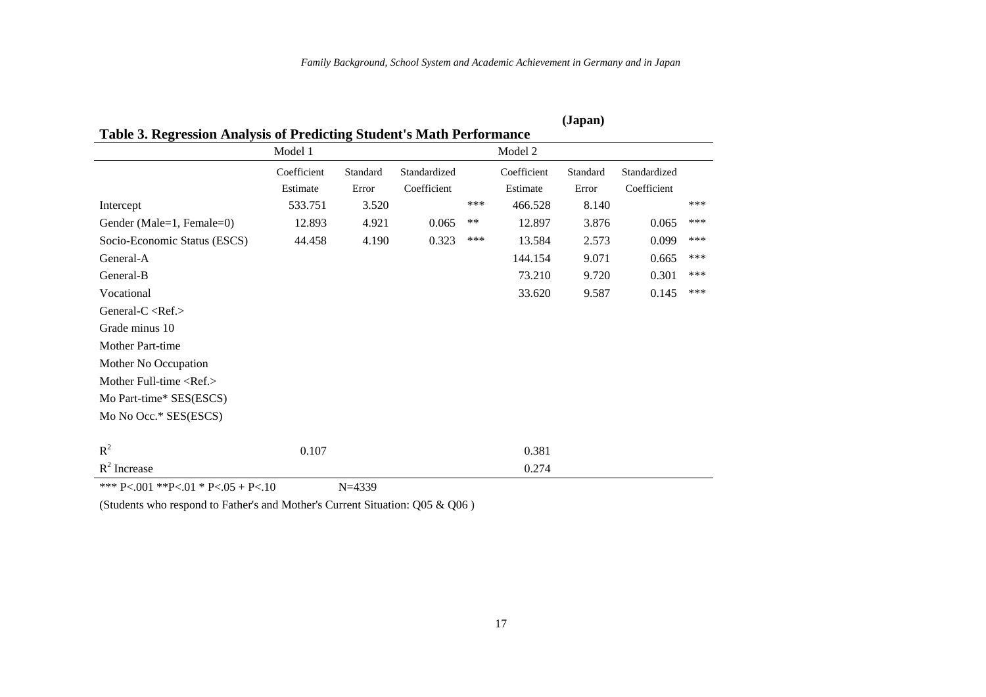**(Japan)**

| Table 5. Regression Analysis of Predicting Student s Math Performance | Model 1                 |                   |                             |       | Model 2                 |                   |                             |     |
|-----------------------------------------------------------------------|-------------------------|-------------------|-----------------------------|-------|-------------------------|-------------------|-----------------------------|-----|
|                                                                       | Coefficient<br>Estimate | Standard<br>Error | Standardized<br>Coefficient |       | Coefficient<br>Estimate | Standard<br>Error | Standardized<br>Coefficient |     |
| Intercept                                                             | 533.751                 | 3.520             |                             | ***   | 466.528                 | 8.140             |                             | *** |
| Gender (Male=1, Female=0)                                             | 12.893                  | 4.921             | 0.065                       | $***$ | 12.897                  | 3.876             | 0.065                       | *** |
| Socio-Economic Status (ESCS)                                          | 44.458                  | 4.190             | 0.323                       | ***   | 13.584                  | 2.573             | 0.099                       | *** |
| General-A                                                             |                         |                   |                             |       | 144.154                 | 9.071             | 0.665                       | *** |
| General-B                                                             |                         |                   |                             |       | 73.210                  | 9.720             | 0.301                       | *** |
| Vocational                                                            |                         |                   |                             |       | 33.620                  | 9.587             | 0.145                       | *** |
| General-C <ref.></ref.>                                               |                         |                   |                             |       |                         |                   |                             |     |
| Grade minus 10                                                        |                         |                   |                             |       |                         |                   |                             |     |
| Mother Part-time                                                      |                         |                   |                             |       |                         |                   |                             |     |
| Mother No Occupation                                                  |                         |                   |                             |       |                         |                   |                             |     |
| Mother Full-time <ref.></ref.>                                        |                         |                   |                             |       |                         |                   |                             |     |
| Mo Part-time* SES(ESCS)                                               |                         |                   |                             |       |                         |                   |                             |     |
| Mo No Occ.* SES(ESCS)                                                 |                         |                   |                             |       |                         |                   |                             |     |
| $R^2$                                                                 | 0.107                   |                   |                             |       | 0.381                   |                   |                             |     |
| $R^2$ Increase                                                        |                         |                   |                             |       | 0.274                   |                   |                             |     |

## **Table 3. Regression Analysis of Predicting Student's Math Performance**

\*\*\* P<.001 \*\* P<.01 \* P<.05 + P<.10  $N=4339$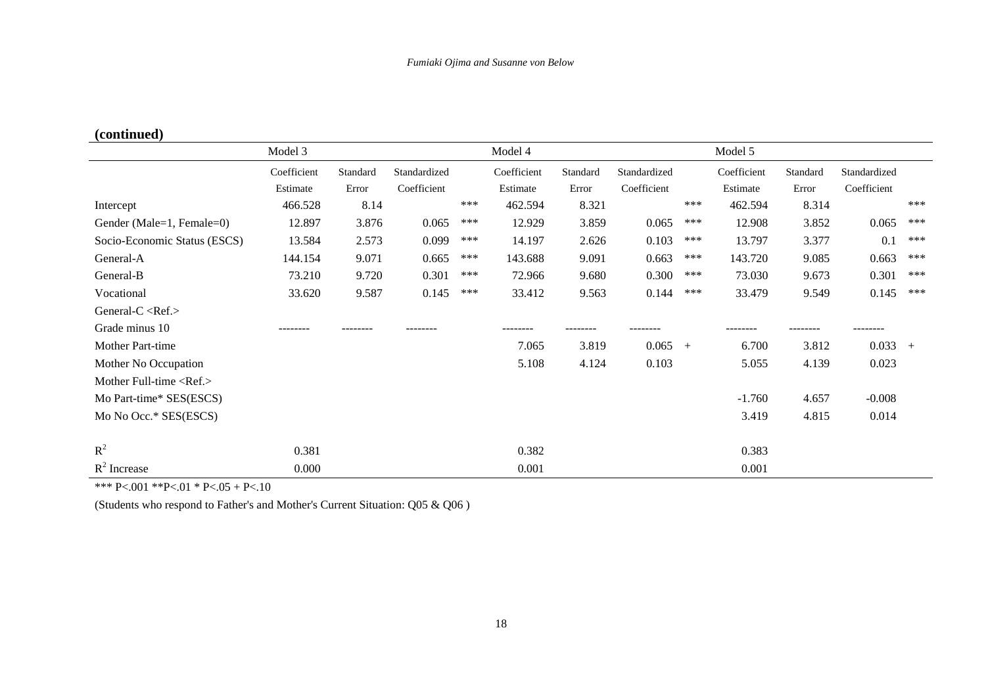## **(continued)**

|                                         | Model 3     |          |              |       | Model 4     |          |              |     | Model 5     |          |              |       |
|-----------------------------------------|-------------|----------|--------------|-------|-------------|----------|--------------|-----|-------------|----------|--------------|-------|
|                                         | Coefficient | Standard | Standardized |       | Coefficient | Standard | Standardized |     | Coefficient | Standard | Standardized |       |
|                                         | Estimate    | Error    | Coefficient  |       | Estimate    | Error    | Coefficient  |     | Estimate    | Error    | Coefficient  |       |
| Intercept                               | 466.528     | 8.14     |              | $***$ | 462.594     | 8.321    |              | *** | 462.594     | 8.314    |              | ***   |
| Gender (Male=1, Female=0)               | 12.897      | 3.876    | 0.065        | ***   | 12.929      | 3.859    | 0.065        | *** | 12.908      | 3.852    | 0.065        | ***   |
| Socio-Economic Status (ESCS)            | 13.584      | 2.573    | 0.099        | ***   | 14.197      | 2.626    | 0.103        | *** | 13.797      | 3.377    | 0.1          | $***$ |
| General-A                               | 144.154     | 9.071    | 0.665        | ***   | 143.688     | 9.091    | 0.663        | *** | 143.720     | 9.085    | 0.663        | ***   |
| General-B                               | 73.210      | 9.720    | 0.301        | ***   | 72.966      | 9.680    | 0.300        | *** | 73.030      | 9.673    | 0.301        | ***   |
| Vocational                              | 33.620      | 9.587    | 0.145        | ***   | 33.412      | 9.563    | 0.144        | *** | 33.479      | 9.549    | 0.145        | ***   |
| General-C <ref.></ref.>                 |             |          |              |       |             |          |              |     |             |          |              |       |
| Grade minus 10                          |             |          |              |       |             |          |              |     |             |          |              |       |
| Mother Part-time                        |             |          |              |       | 7.065       | 3.819    | 0.065        | $+$ | 6.700       | 3.812    | 0.033        | $+$   |
| Mother No Occupation                    |             |          |              |       | 5.108       | 4.124    | 0.103        |     | 5.055       | 4.139    | 0.023        |       |
| Mother Full-time $\langle Ref. \rangle$ |             |          |              |       |             |          |              |     |             |          |              |       |
| Mo Part-time* SES(ESCS)                 |             |          |              |       |             |          |              |     | $-1.760$    | 4.657    | $-0.008$     |       |
| Mo No Occ.* SES(ESCS)                   |             |          |              |       |             |          |              |     | 3.419       | 4.815    | 0.014        |       |
|                                         |             |          |              |       |             |          |              |     |             |          |              |       |
| $R^2$                                   | 0.381       |          |              |       | 0.382       |          |              |     | 0.383       |          |              |       |
| $R^2$ Increase                          | 0.000       |          |              |       | 0.001       |          |              |     | 0.001       |          |              |       |

\*\*\* P<.001 \*\*P<.01 \* P<.05 + P<.10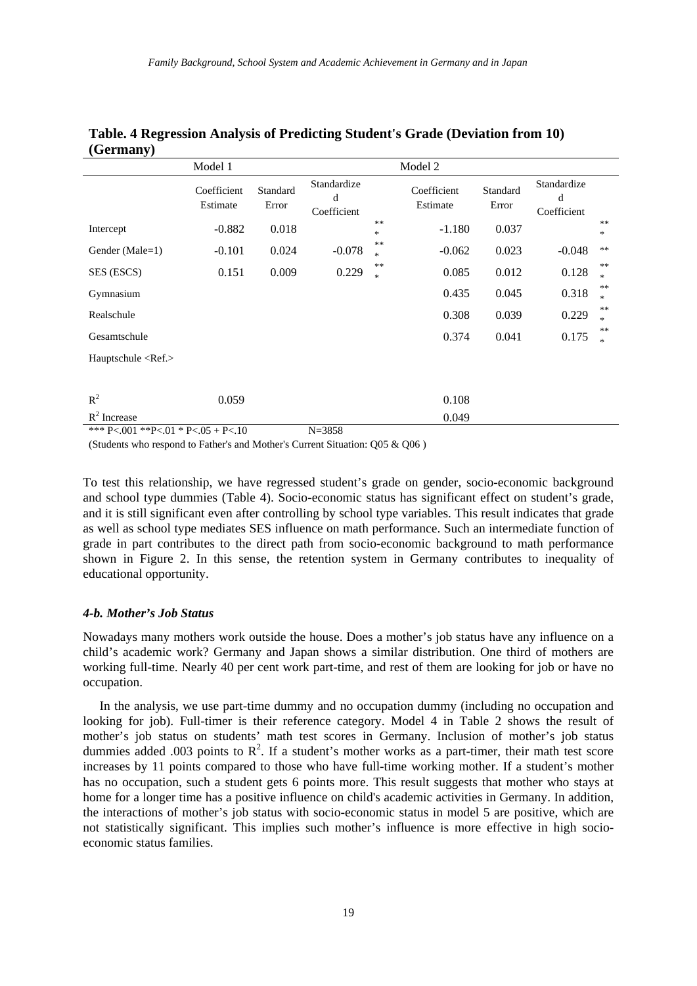|                           | Model 1                 |                   |                                 |                         | Model 2                 |                   |                                 |                         |
|---------------------------|-------------------------|-------------------|---------------------------------|-------------------------|-------------------------|-------------------|---------------------------------|-------------------------|
|                           | Coefficient<br>Estimate | Standard<br>Error | Standardize<br>d<br>Coefficient |                         | Coefficient<br>Estimate | Standard<br>Error | Standardize<br>d<br>Coefficient |                         |
| Intercept                 | $-0.882$                | 0.018             |                                 | **<br>$\ast$            | $-1.180$                | 0.037             |                                 | **<br>$\ast$            |
| Gender (Male=1)           | $-0.101$                | 0.024             | $-0.078$                        | $\ast$ $\ast$<br>$\ast$ | $-0.062$                | 0.023             | $-0.048$                        | **                      |
| SES (ESCS)                | 0.151                   | 0.009             | 0.229                           | $\ast$ $\ast$<br>$\ast$ | 0.085                   | 0.012             | 0.128                           | $\ast$ $\ast$<br>$\ast$ |
| Gymnasium                 |                         |                   |                                 |                         | 0.435                   | 0.045             | 0.318                           | **<br>$\ast$            |
| Realschule                |                         |                   |                                 |                         | 0.308                   | 0.039             | 0.229                           | **<br>$\ast$            |
| Gesamtschule              |                         |                   |                                 |                         | 0.374                   | 0.041             | 0.175                           | **<br>$\ast$            |
| Hauptschule <ref.></ref.> |                         |                   |                                 |                         |                         |                   |                                 |                         |
|                           |                         |                   |                                 |                         |                         |                   |                                 |                         |
| $R^2$                     | 0.059                   |                   |                                 |                         | 0.108                   |                   |                                 |                         |
| $R^2$ Increase            |                         |                   |                                 |                         | 0.049                   |                   |                                 |                         |

### **Table. 4 Regression Analysis of Predicting Student's Grade (Deviation from 10) (Germany)**

\*\*\*  $P < 001$  \*\* $P < 01$  \*  $P < 05 + P < 10$  N=3858

(Students who respond to Father's and Mother's Current Situation: Q05 & Q06 )

To test this relationship, we have regressed student's grade on gender, socio-economic background and school type dummies (Table 4). Socio-economic status has significant effect on student's grade, and it is still significant even after controlling by school type variables. This result indicates that grade as well as school type mediates SES influence on math performance. Such an intermediate function of grade in part contributes to the direct path from socio-economic background to math performance shown in Figure 2. In this sense, the retention system in Germany contributes to inequality of educational opportunity.

#### *4-b. Mother's Job Status*

Nowadays many mothers work outside the house. Does a mother's job status have any influence on a child's academic work? Germany and Japan shows a similar distribution. One third of mothers are working full-time. Nearly 40 per cent work part-time, and rest of them are looking for job or have no occupation.

In the analysis, we use part-time dummy and no occupation dummy (including no occupation and looking for job). Full-timer is their reference category. Model 4 in Table 2 shows the result of mother's job status on students' math test scores in Germany. Inclusion of mother's job status dummies added .003 points to  $\mathbb{R}^2$ . If a student's mother works as a part-timer, their math test score increases by 11 points compared to those who have full-time working mother. If a student's mother has no occupation, such a student gets 6 points more. This result suggests that mother who stays at home for a longer time has a positive influence on child's academic activities in Germany. In addition, the interactions of mother's job status with socio-economic status in model 5 are positive, which are not statistically significant. This implies such mother's influence is more effective in high socioeconomic status families.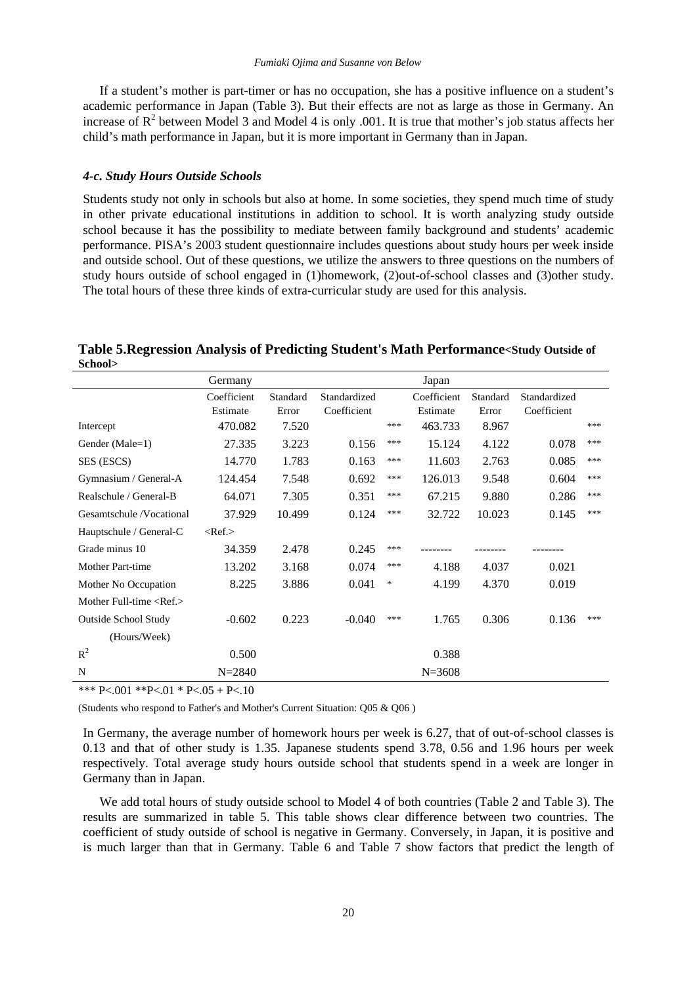If a student's mother is part-timer or has no occupation, she has a positive influence on a student's academic performance in Japan (Table 3). But their effects are not as large as those in Germany. An increase of  $\mathbb{R}^2$  between Model 3 and Model 4 is only .001. It is true that mother's job status affects her child's math performance in Japan, but it is more important in Germany than in Japan.

#### *4-c. Study Hours Outside Schools*

Students study not only in schools but also at home. In some societies, they spend much time of study in other private educational institutions in addition to school. It is worth analyzing study outside school because it has the possibility to mediate between family background and students' academic performance. PISA's 2003 student questionnaire includes questions about study hours per week inside and outside school. Out of these questions, we utilize the answers to three questions on the numbers of study hours outside of school engaged in (1)homework, (2)out-of-school classes and (3)other study. The total hours of these three kinds of extra-curricular study are used for this analysis.

**Table 5.Regression Analysis of Predicting Student's Math Performance<Study Outside of School>**

|                                | Germany      |          |              |     | Japan       |          |              |     |
|--------------------------------|--------------|----------|--------------|-----|-------------|----------|--------------|-----|
|                                | Coefficient  | Standard | Standardized |     | Coefficient | Standard | Standardized |     |
|                                | Estimate     | Error    | Coefficient  |     | Estimate    | Error    | Coefficient  |     |
| Intercept                      | 470.082      | 7.520    |              | *** | 463.733     | 8.967    |              | *** |
| Gender (Male=1)                | 27.335       | 3.223    | 0.156        | *** | 15.124      | 4.122    | 0.078        | *** |
| SES (ESCS)                     | 14.770       | 1.783    | 0.163        | *** | 11.603      | 2.763    | 0.085        | *** |
| Gymnasium / General-A          | 124.454      | 7.548    | 0.692        | *** | 126.013     | 9.548    | 0.604        | *** |
| Realschule / General-B         | 64.071       | 7.305    | 0.351        | *** | 67.215      | 9.880    | 0.286        | *** |
| Gesamtschule /Vocational       | 37.929       | 10.499   | 0.124        | *** | 32.722      | 10.023   | 0.145        | *** |
| Hauptschule / General-C        | $<$ Ref. $>$ |          |              |     |             |          |              |     |
| Grade minus 10                 | 34.359       | 2.478    | 0.245        | *** |             |          |              |     |
| Mother Part-time               | 13.202       | 3.168    | 0.074        | *** | 4.188       | 4.037    | 0.021        |     |
| Mother No Occupation           | 8.225        | 3.886    | 0.041        | ∗   | 4.199       | 4.370    | 0.019        |     |
| Mother Full-time <ref.></ref.> |              |          |              |     |             |          |              |     |
| <b>Outside School Study</b>    | $-0.602$     | 0.223    | $-0.040$     | *** | 1.765       | 0.306    | 0.136        | *** |
| (Hours/Week)                   |              |          |              |     |             |          |              |     |
| $R^2$                          | 0.500        |          |              |     | 0.388       |          |              |     |
| N                              | $N = 2840$   |          |              |     | $N = 3608$  |          |              |     |

\*\*\* P<.001 \*\* P<.01 \* P<.05 + P<.10

(Students who respond to Father's and Mother's Current Situation: Q05 & Q06 )

In Germany, the average number of homework hours per week is 6.27, that of out-of-school classes is 0.13 and that of other study is 1.35. Japanese students spend 3.78, 0.56 and 1.96 hours per week respectively. Total average study hours outside school that students spend in a week are longer in Germany than in Japan.

We add total hours of study outside school to Model 4 of both countries (Table 2 and Table 3). The results are summarized in table 5. This table shows clear difference between two countries. The coefficient of study outside of school is negative in Germany. Conversely, in Japan, it is positive and is much larger than that in Germany. Table 6 and Table 7 show factors that predict the length of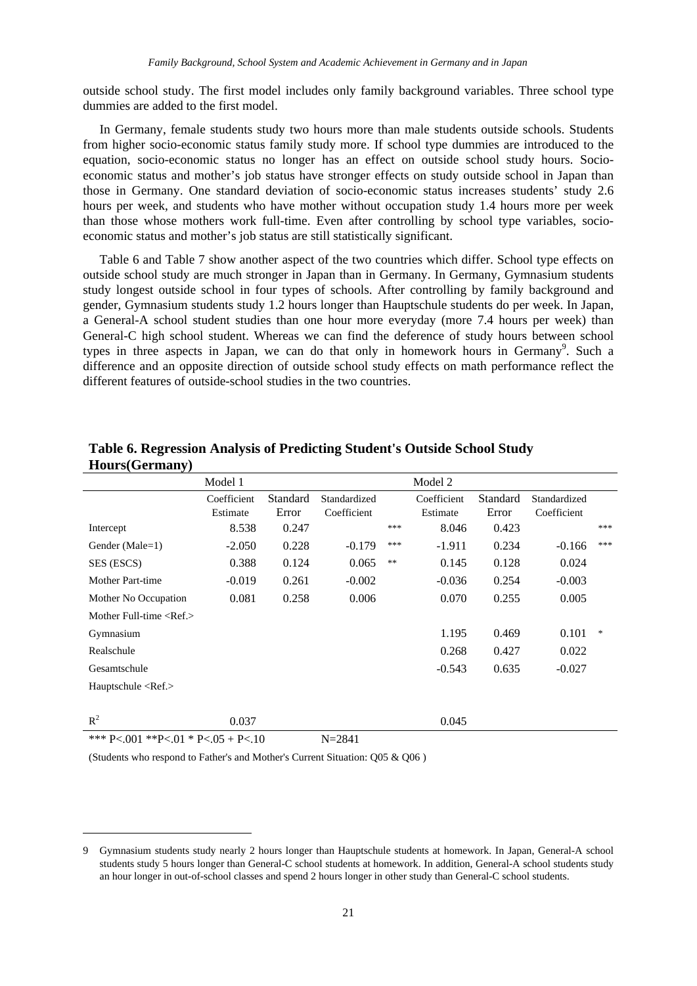outside school study. The first model includes only family background variables. Three school type dummies are added to the first model.

In Germany, female students study two hours more than male students outside schools. Students from higher socio-economic status family study more. If school type dummies are introduced to the equation, socio-economic status no longer has an effect on outside school study hours. Socioeconomic status and mother's job status have stronger effects on study outside school in Japan than those in Germany. One standard deviation of socio-economic status increases students' study 2.6 hours per week, and students who have mother without occupation study 1.4 hours more per week than those whose mothers work full-time. Even after controlling by school type variables, socioeconomic status and mother's job status are still statistically significant.

Table 6 and Table 7 show another aspect of the two countries which differ. School type effects on outside school study are much stronger in Japan than in Germany. In Germany, Gymnasium students study longest outside school in four types of schools. After controlling by family background and gender, Gymnasium students study 1.2 hours longer than Hauptschule students do per week. In Japan, a General-A school student studies than one hour more everyday (more 7.4 hours per week) than General-C high school student. Whereas we can find the deference of study hours between school types in three aspects in Japan, we can do that only in homework hours in Germany<sup>9</sup>. Such a difference and an opposite direction of outside school study effects on math performance reflect the different features of outside-school studies in the two countries.

|                                     | Model 1     |          |              |            | Model 2     |          |              |               |
|-------------------------------------|-------------|----------|--------------|------------|-------------|----------|--------------|---------------|
|                                     | Coefficient | Standard | Standardized |            | Coefficient | Standard | Standardized |               |
|                                     | Estimate    | Error    | Coefficient  |            | Estimate    | Error    | Coefficient  |               |
| Intercept                           | 8.538       | 0.247    |              | ***        | 8.046       | 0.423    |              | ***           |
| Gender (Male=1)                     | $-2.050$    | 0.228    | $-0.179$     | ***        | $-1.911$    | 0.234    | $-0.166$     | ***           |
| SES (ESCS)                          | 0.388       | 0.124    | 0.065        | $\ast\ast$ | 0.145       | 0.128    | 0.024        |               |
| Mother Part-time                    | $-0.019$    | 0.261    | $-0.002$     |            | $-0.036$    | 0.254    | $-0.003$     |               |
| Mother No Occupation                | 0.081       | 0.258    | 0.006        |            | 0.070       | 0.255    | 0.005        |               |
| Mother Full-time <ref.></ref.>      |             |          |              |            |             |          |              |               |
| Gymnasium                           |             |          |              |            | 1.195       | 0.469    | 0.101        | $\frac{1}{2}$ |
| Realschule                          |             |          |              |            | 0.268       | 0.427    | 0.022        |               |
| Gesamtschule                        |             |          |              |            | $-0.543$    | 0.635    | $-0.027$     |               |
| Hauptschule <ref.></ref.>           |             |          |              |            |             |          |              |               |
|                                     |             |          |              |            |             |          |              |               |
| $R^2$                               | 0.037       |          |              |            | 0.045       |          |              |               |
| *** P<.001 ** P<.01 * P<.05 + P<.10 |             |          | $N = 2841$   |            |             |          |              |               |

#### **Table 6. Regression Analysis of Predicting Student's Outside School Study Hours(Germany)**

(Students who respond to Father's and Mother's Current Situation: Q05 & Q06 )

1

<sup>9</sup> Gymnasium students study nearly 2 hours longer than Hauptschule students at homework. In Japan, General-A school students study 5 hours longer than General-C school students at homework. In addition, General-A school students study an hour longer in out-of-school classes and spend 2 hours longer in other study than General-C school students.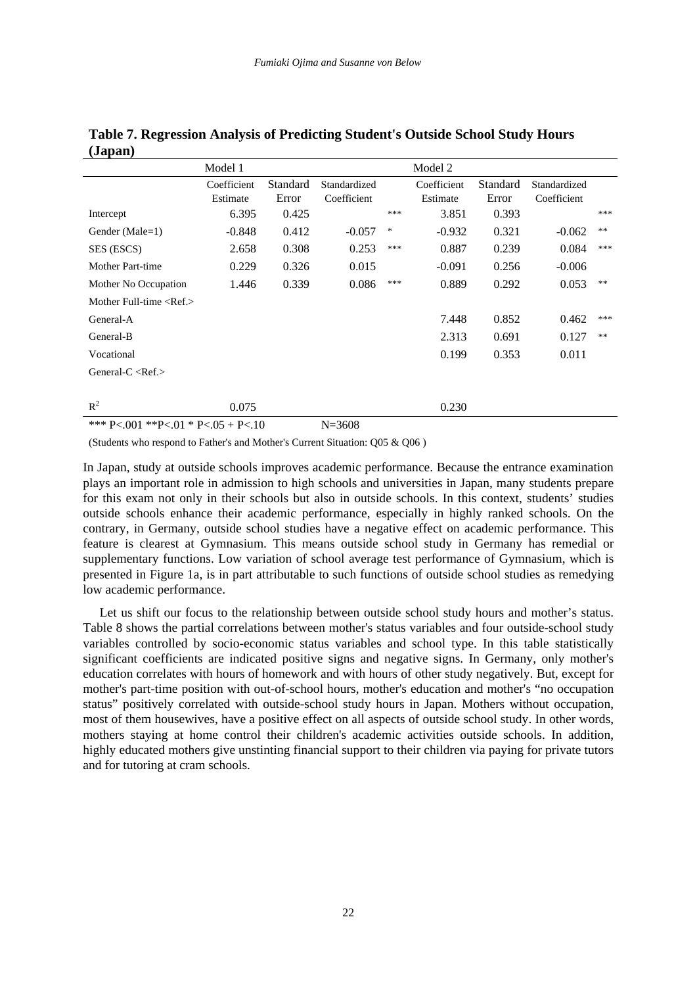|                                                                                                                        | Model 1     |          |                  |        | Model 2     |          |              |            |
|------------------------------------------------------------------------------------------------------------------------|-------------|----------|------------------|--------|-------------|----------|--------------|------------|
|                                                                                                                        | Coefficient | Standard | Standardized     |        | Coefficient | Standard | Standardized |            |
|                                                                                                                        | Estimate    | Error    | Coefficient      |        | Estimate    | Error    | Coefficient  |            |
| Intercept                                                                                                              | 6.395       | 0.425    |                  | ***    | 3.851       | 0.393    |              | ***        |
| Gender (Male=1)                                                                                                        | $-0.848$    | 0.412    | $-0.057$         | $\ast$ | $-0.932$    | 0.321    | $-0.062$     | $\ast\ast$ |
| SES (ESCS)                                                                                                             | 2.658       | 0.308    | 0.253            | ***    | 0.887       | 0.239    | 0.084        | ***        |
| Mother Part-time                                                                                                       | 0.229       | 0.326    | 0.015            |        | $-0.091$    | 0.256    | $-0.006$     |            |
| Mother No Occupation                                                                                                   | 1.446       | 0.339    | 0.086            | ***    | 0.889       | 0.292    | 0.053        | $\ast$     |
| Mother Full-time $\langle Ref. \rangle$                                                                                |             |          |                  |        |             |          |              |            |
| General-A                                                                                                              |             |          |                  |        | 7.448       | 0.852    | 0.462        | ***        |
| General-B                                                                                                              |             |          |                  |        | 2.313       | 0.691    | 0.127        | $\ast\ast$ |
| Vocational                                                                                                             |             |          |                  |        | 0.199       | 0.353    | 0.011        |            |
| General-C $<$ Ref. $>$                                                                                                 |             |          |                  |        |             |          |              |            |
|                                                                                                                        |             |          |                  |        |             |          |              |            |
| $R^2$                                                                                                                  | 0.075       |          |                  |        | 0.230       |          |              |            |
| $*$ $*$ $*$ $\mathbf{D}$ . $0$ $0$ $1$ $*$ $\mathbf{D}$ . $0$ $\mathbf{D}$ . $0$ $\mathbf{E}$ . $\mathbf{D}$ . $1$ $0$ |             |          | $\mathbf{M}$ 260 |        |             |          |              |            |

**Table 7. Regression Analysis of Predicting Student's Outside School Study Hours (Japan)** 

\*\*\* P<.001 \*\*P<.01 \* P<.05 + P<.10 N=3608

(Students who respond to Father's and Mother's Current Situation: Q05 & Q06 )

In Japan, study at outside schools improves academic performance. Because the entrance examination plays an important role in admission to high schools and universities in Japan, many students prepare for this exam not only in their schools but also in outside schools. In this context, students' studies outside schools enhance their academic performance, especially in highly ranked schools. On the contrary, in Germany, outside school studies have a negative effect on academic performance. This feature is clearest at Gymnasium. This means outside school study in Germany has remedial or supplementary functions. Low variation of school average test performance of Gymnasium, which is presented in Figure 1a, is in part attributable to such functions of outside school studies as remedying low academic performance.

Let us shift our focus to the relationship between outside school study hours and mother's status. Table 8 shows the partial correlations between mother's status variables and four outside-school study variables controlled by socio-economic status variables and school type. In this table statistically significant coefficients are indicated positive signs and negative signs. In Germany, only mother's education correlates with hours of homework and with hours of other study negatively. But, except for mother's part-time position with out-of-school hours, mother's education and mother's "no occupation status" positively correlated with outside-school study hours in Japan. Mothers without occupation, most of them housewives, have a positive effect on all aspects of outside school study. In other words, mothers staying at home control their children's academic activities outside schools. In addition, highly educated mothers give unstinting financial support to their children via paying for private tutors and for tutoring at cram schools.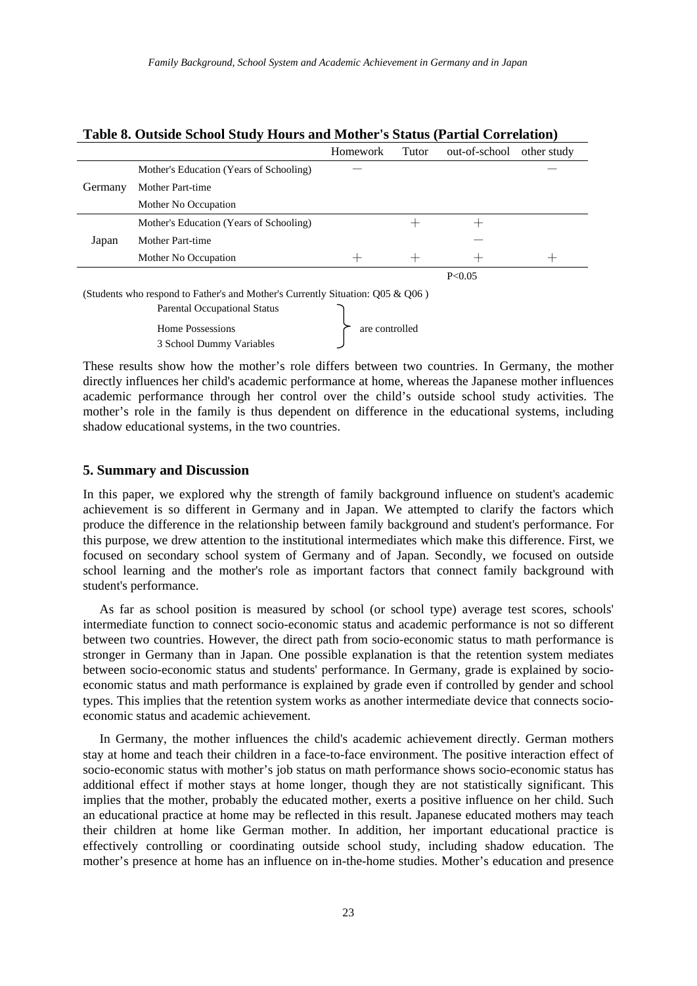|         | THUSE OF OWNERS DUROOF DIGGS   ALOWED WHILE HEODICE D'OGGIOND (A WE GIVE COLL CHARLOID) |          |       |               |             |
|---------|-----------------------------------------------------------------------------------------|----------|-------|---------------|-------------|
|         |                                                                                         | Homework | Tutor | out-of-school | other study |
|         | Mother's Education (Years of Schooling)                                                 |          |       |               |             |
| Germany | Mother Part-time                                                                        |          |       |               |             |
|         | Mother No Occupation                                                                    |          |       |               |             |
|         | Mother's Education (Years of Schooling)                                                 |          |       |               |             |
| Japan   | Mother Part-time                                                                        |          |       |               |             |
|         | Mother No Occupation                                                                    |          |       |               |             |
|         |                                                                                         |          |       | P<0.05        |             |

#### **Table 8. Outside School Study Hours and Mother's Status (Partial Correlation)**

(Students who respond to Father's and Mother's Currently Situation: Q05 & Q06 )

Parental Occupational Status Home Possessions  $\qquad \qquad$  are controlled 3 School Dummy Variables

These results show how the mother's role differs between two countries. In Germany, the mother directly influences her child's academic performance at home, whereas the Japanese mother influences academic performance through her control over the child's outside school study activities. The mother's role in the family is thus dependent on difference in the educational systems, including shadow educational systems, in the two countries.

#### **5. Summary and Discussion**

In this paper, we explored why the strength of family background influence on student's academic achievement is so different in Germany and in Japan. We attempted to clarify the factors which produce the difference in the relationship between family background and student's performance. For this purpose, we drew attention to the institutional intermediates which make this difference. First, we focused on secondary school system of Germany and of Japan. Secondly, we focused on outside school learning and the mother's role as important factors that connect family background with student's performance.

As far as school position is measured by school (or school type) average test scores, schools' intermediate function to connect socio-economic status and academic performance is not so different between two countries. However, the direct path from socio-economic status to math performance is stronger in Germany than in Japan. One possible explanation is that the retention system mediates between socio-economic status and students' performance. In Germany, grade is explained by socioeconomic status and math performance is explained by grade even if controlled by gender and school types. This implies that the retention system works as another intermediate device that connects socioeconomic status and academic achievement.

In Germany, the mother influences the child's academic achievement directly. German mothers stay at home and teach their children in a face-to-face environment. The positive interaction effect of socio-economic status with mother's job status on math performance shows socio-economic status has additional effect if mother stays at home longer, though they are not statistically significant. This implies that the mother, probably the educated mother, exerts a positive influence on her child. Such an educational practice at home may be reflected in this result. Japanese educated mothers may teach their children at home like German mother. In addition, her important educational practice is effectively controlling or coordinating outside school study, including shadow education. The mother's presence at home has an influence on in-the-home studies. Mother's education and presence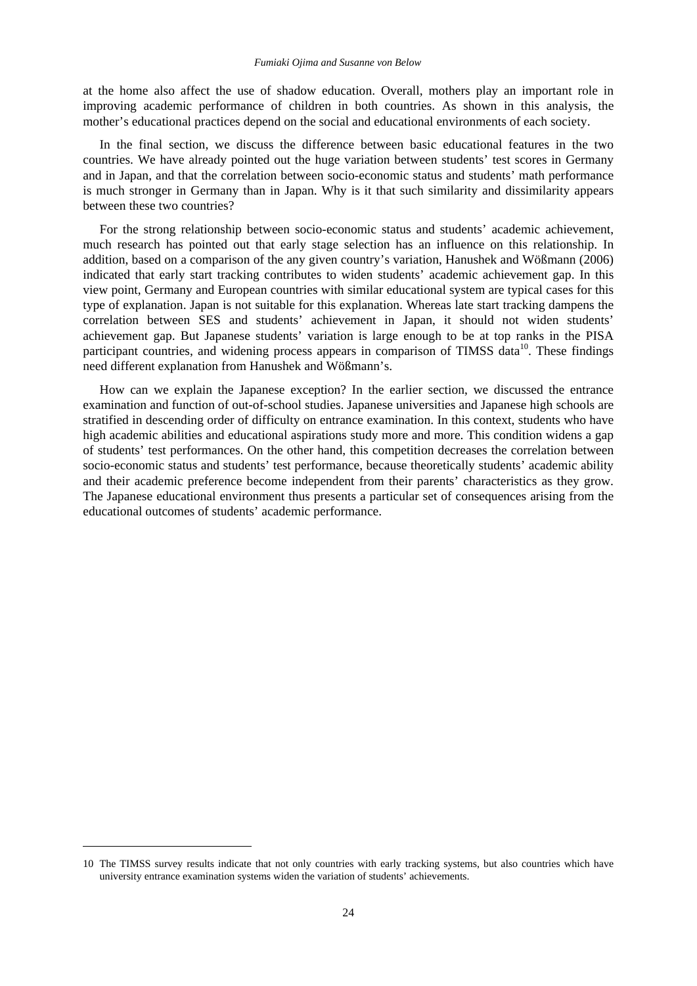at the home also affect the use of shadow education. Overall, mothers play an important role in improving academic performance of children in both countries. As shown in this analysis, the mother's educational practices depend on the social and educational environments of each society.

In the final section, we discuss the difference between basic educational features in the two countries. We have already pointed out the huge variation between students' test scores in Germany and in Japan, and that the correlation between socio-economic status and students' math performance is much stronger in Germany than in Japan. Why is it that such similarity and dissimilarity appears between these two countries?

For the strong relationship between socio-economic status and students' academic achievement, much research has pointed out that early stage selection has an influence on this relationship. In addition, based on a comparison of the any given country's variation, Hanushek and Wößmann (2006) indicated that early start tracking contributes to widen students' academic achievement gap. In this view point, Germany and European countries with similar educational system are typical cases for this type of explanation. Japan is not suitable for this explanation. Whereas late start tracking dampens the correlation between SES and students' achievement in Japan, it should not widen students' achievement gap. But Japanese students' variation is large enough to be at top ranks in the PISA participant countries, and widening process appears in comparison of TIMSS data $10$ . These findings need different explanation from Hanushek and Wößmann's.

How can we explain the Japanese exception? In the earlier section, we discussed the entrance examination and function of out-of-school studies. Japanese universities and Japanese high schools are stratified in descending order of difficulty on entrance examination. In this context, students who have high academic abilities and educational aspirations study more and more. This condition widens a gap of students' test performances. On the other hand, this competition decreases the correlation between socio-economic status and students' test performance, because theoretically students' academic ability and their academic preference become independent from their parents' characteristics as they grow. The Japanese educational environment thus presents a particular set of consequences arising from the educational outcomes of students' academic performance.

-

<sup>10</sup> The TIMSS survey results indicate that not only countries with early tracking systems, but also countries which have university entrance examination systems widen the variation of students' achievements.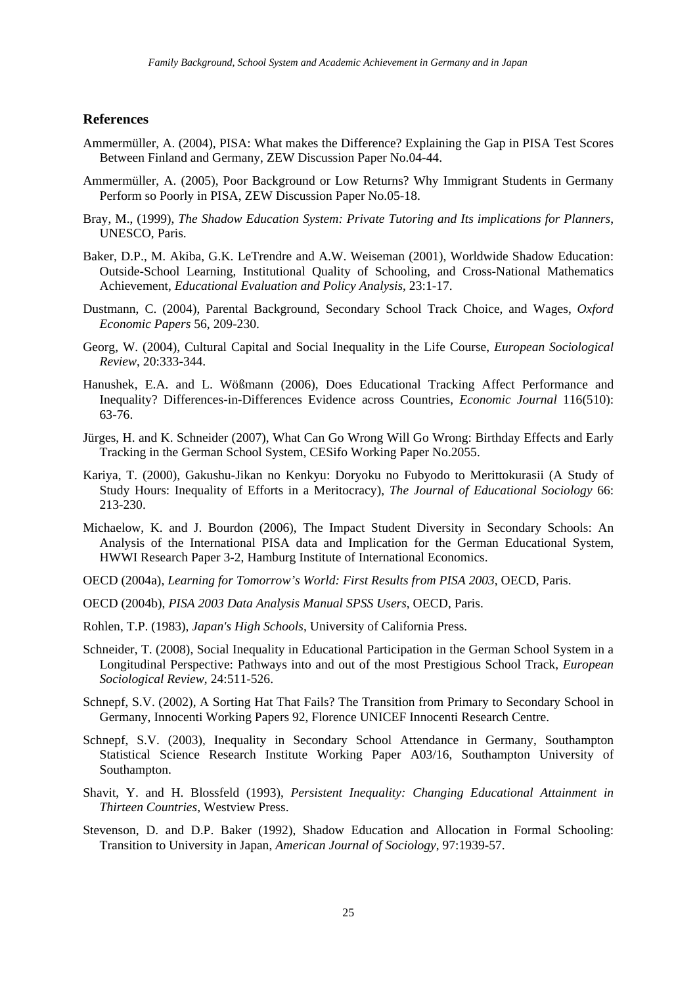#### **References**

- Ammermüller, A. (2004), PISA: What makes the Difference? Explaining the Gap in PISA Test Scores Between Finland and Germany, ZEW Discussion Paper No.04-44.
- Ammermüller, A. (2005), Poor Background or Low Returns? Why Immigrant Students in Germany Perform so Poorly in PISA, ZEW Discussion Paper No.05-18.
- Bray, M., (1999), *The Shadow Education System: Private Tutoring and Its implications for Planners*, UNESCO, Paris.
- Baker, D.P., M. Akiba, G.K. LeTrendre and A.W. Weiseman (2001), Worldwide Shadow Education: Outside-School Learning, Institutional Quality of Schooling, and Cross-National Mathematics Achievement, *Educational Evaluation and Policy Analysis*, 23:1-17.
- Dustmann, C. (2004), Parental Background, Secondary School Track Choice, and Wages, *Oxford Economic Papers* 56, 209-230.
- Georg, W. (2004), Cultural Capital and Social Inequality in the Life Course, *European Sociological Review*, 20:333-344.
- Hanushek, E.A. and L. Wößmann (2006), Does Educational Tracking Affect Performance and Inequality? Differences-in-Differences Evidence across Countries, *Economic Journal* 116(510): 63-76.
- Jürges, H. and K. Schneider (2007), What Can Go Wrong Will Go Wrong: Birthday Effects and Early Tracking in the German School System, CESifo Working Paper No.2055.
- Kariya, T. (2000), Gakushu-Jikan no Kenkyu: Doryoku no Fubyodo to Merittokurasii (A Study of Study Hours: Inequality of Efforts in a Meritocracy), *The Journal of Educational Sociology* 66: 213-230.
- Michaelow, K. and J. Bourdon (2006), The Impact Student Diversity in Secondary Schools: An Analysis of the International PISA data and Implication for the German Educational System, HWWI Research Paper 3-2, Hamburg Institute of International Economics.
- OECD (2004a), *Learning for Tomorrow's World: First Results from PISA 2003*, OECD, Paris.
- OECD (2004b), *PISA 2003 Data Analysis Manual SPSS Users*, OECD, Paris.
- Rohlen, T.P. (1983), *Japan's High Schools*, University of California Press.
- Schneider, T. (2008), Social Inequality in Educational Participation in the German School System in a Longitudinal Perspective: Pathways into and out of the most Prestigious School Track, *European Sociological Review*, 24:511-526.
- Schnepf, S.V. (2002), A Sorting Hat That Fails? The Transition from Primary to Secondary School in Germany, Innocenti Working Papers 92, Florence UNICEF Innocenti Research Centre.
- Schnepf, S.V. (2003), Inequality in Secondary School Attendance in Germany, Southampton Statistical Science Research Institute Working Paper A03/16, Southampton University of Southampton.
- Shavit, Y. and H. Blossfeld (1993), *Persistent Inequality: Changing Educational Attainment in Thirteen Countries,* Westview Press.
- Stevenson, D. and D.P. Baker (1992), Shadow Education and Allocation in Formal Schooling: Transition to University in Japan, *American Journal of Sociology*, 97:1939-57.